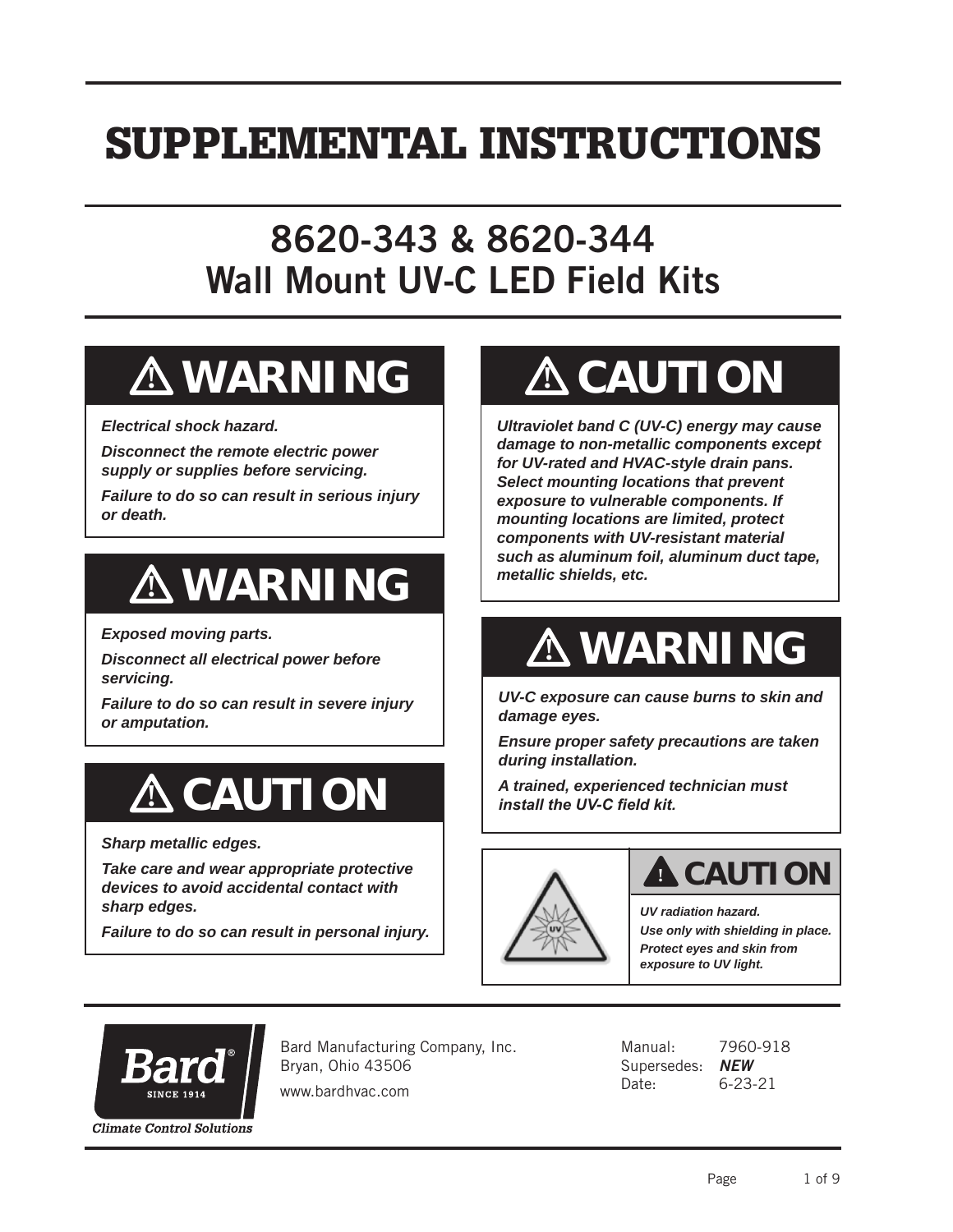## SUPPLEMENTAL INSTRUCTIONS

## 8620-343 & 8620-344 Wall Mount UV-C LED Field Kits

# **! WARNING**

*Electrical shock hazard.*

*Disconnect the remote electric power supply or supplies before servicing.*

*Failure to do so can result in serious injury or death.*

# **! WARNING**

*Exposed moving parts.*

*Disconnect all electrical power before servicing.*

*Failure to do so can result in severe injury or amputation.*

# **! CAUTION**

*Sharp metallic edges.*

*Take care and wear appropriate protective devices to avoid accidental contact with sharp edges.*

*Failure to do so can result in personal injury.*

# **! CAUTION**

*Ultraviolet band C (UV-C) energy may cause damage to non-metallic components except for UV-rated and HVAC-style drain pans. Select mounting locations that prevent exposure to vulnerable components. If mounting locations are limited, protect components with UV-resistant material such as aluminum foil, aluminum duct tape, metallic shields, etc.*

# **! WARNING**

*UV-C exposure can cause burns to skin and damage eyes.*

*Ensure proper safety precautions are taken during installation.*

*A trained, experienced technician must install the UV-C field kit.*



## **! CAUTION**

*UV radiation hazard. Use only with shielding in place. Protect eyes and skin from exposure to UV light.*



Bard Manufacturing Company, Inc. Bryan, Ohio 43506

www.bardhvac.com

Manual: 7960-918 Supersedes: *NEW* Date: 6-23-21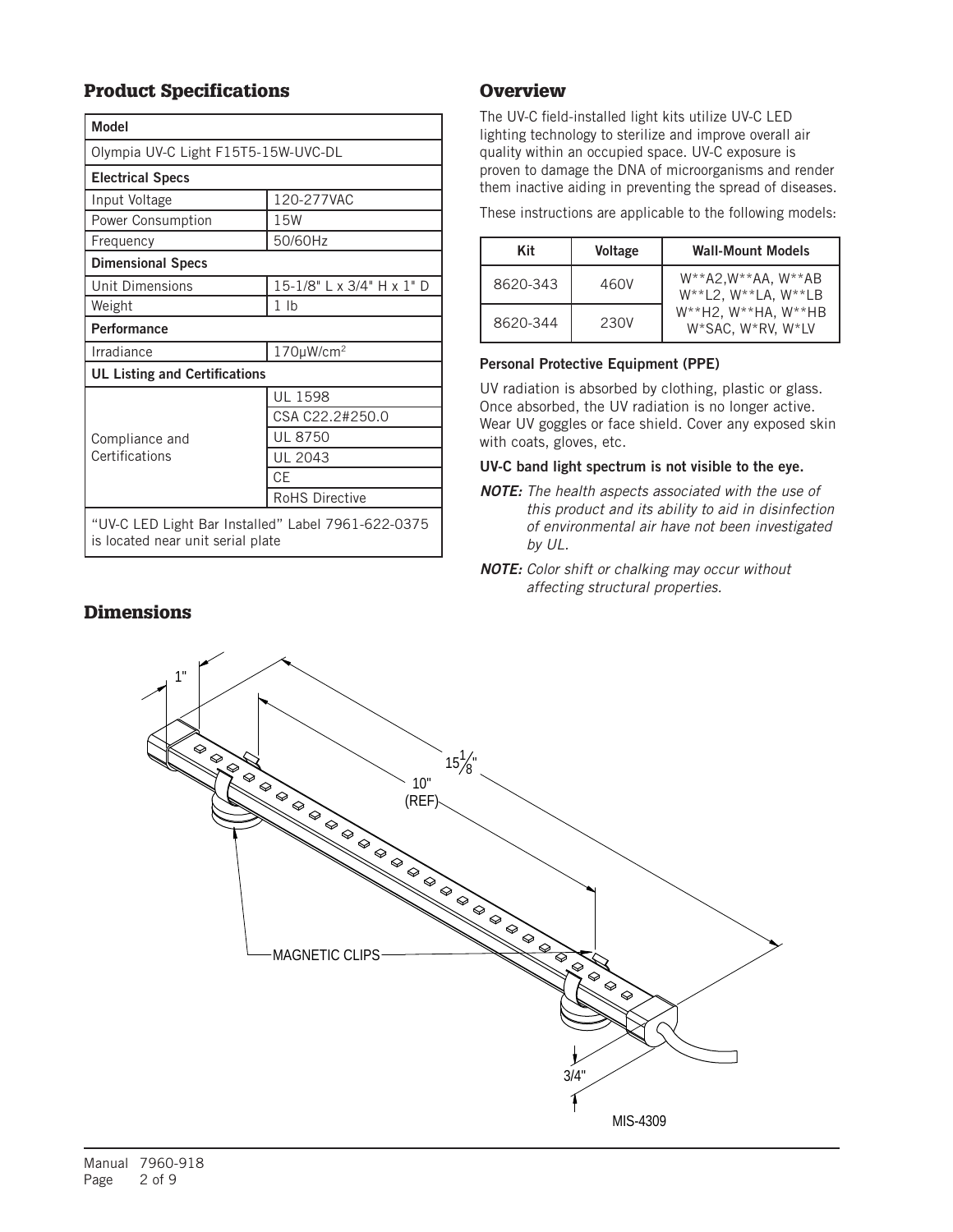### Product Specifications

| <b>Model</b>                                                                            |                           |  |  |  |
|-----------------------------------------------------------------------------------------|---------------------------|--|--|--|
| Olympia UV-C Light F15T5-15W-UVC-DL                                                     |                           |  |  |  |
| <b>Electrical Specs</b>                                                                 |                           |  |  |  |
| Input Voltage                                                                           | 120-277VAC                |  |  |  |
| Power Consumption                                                                       | 15W                       |  |  |  |
| Frequency                                                                               | 50/60Hz                   |  |  |  |
| <b>Dimensional Specs</b>                                                                |                           |  |  |  |
| Unit Dimensions                                                                         | 15-1/8" L x 3/4" H x 1" D |  |  |  |
| Weight                                                                                  | 1 <sub>lb</sub>           |  |  |  |
| Performance                                                                             |                           |  |  |  |
| Irradiance                                                                              | 170µW/cm <sup>2</sup>     |  |  |  |
| <b>UL Listing and Certifications</b>                                                    |                           |  |  |  |
|                                                                                         | <b>UL 1598</b>            |  |  |  |
|                                                                                         | CSA C22.2#250.0           |  |  |  |
| Compliance and<br>Certifications                                                        | <b>UL 8750</b>            |  |  |  |
|                                                                                         | <b>UL 2043</b>            |  |  |  |
|                                                                                         | <b>CE</b>                 |  |  |  |
|                                                                                         | <b>RoHS Directive</b>     |  |  |  |
| "UV-C LED Light Bar Installed" Label 7961-622-0375<br>is located near unit serial plate |                           |  |  |  |

### **Overview**

The UV-C field-installed light kits utilize UV-C LED lighting technology to sterilize and improve overall air quality within an occupied space. UV-C exposure is proven to damage the DNA of microorganisms and render them inactive aiding in preventing the spread of diseases.

These instructions are applicable to the following models:

| Kit      | <b>Voltage</b> | <b>Wall-Mount Models</b>                                          |
|----------|----------------|-------------------------------------------------------------------|
| 8620-343 | 460V           | $W^{**}$ A2, W**AA, W**AB<br>$W^{**}L2$ , $W^{**}LA$ , $W^{**}LB$ |
| 8620-344 | 230V           | $W^{**}H2$ , $W^{**}HA$ , $W^{**}HB$<br>W*SAC, W*RV, W*LV         |

#### Personal Protective Equipment (PPE)

UV radiation is absorbed by clothing, plastic or glass. Once absorbed, the UV radiation is no longer active. Wear UV goggles or face shield. Cover any exposed skin with coats, gloves, etc.

#### UV-C band light spectrum is not visible to the eye.

- *NOTE: The health aspects associated with the use of this product and its ability to aid in disinfection of environmental air have not been investigated by UL.*
- *NOTE: Color shift or chalking may occur without affecting structural properties.*



### **Dimensions**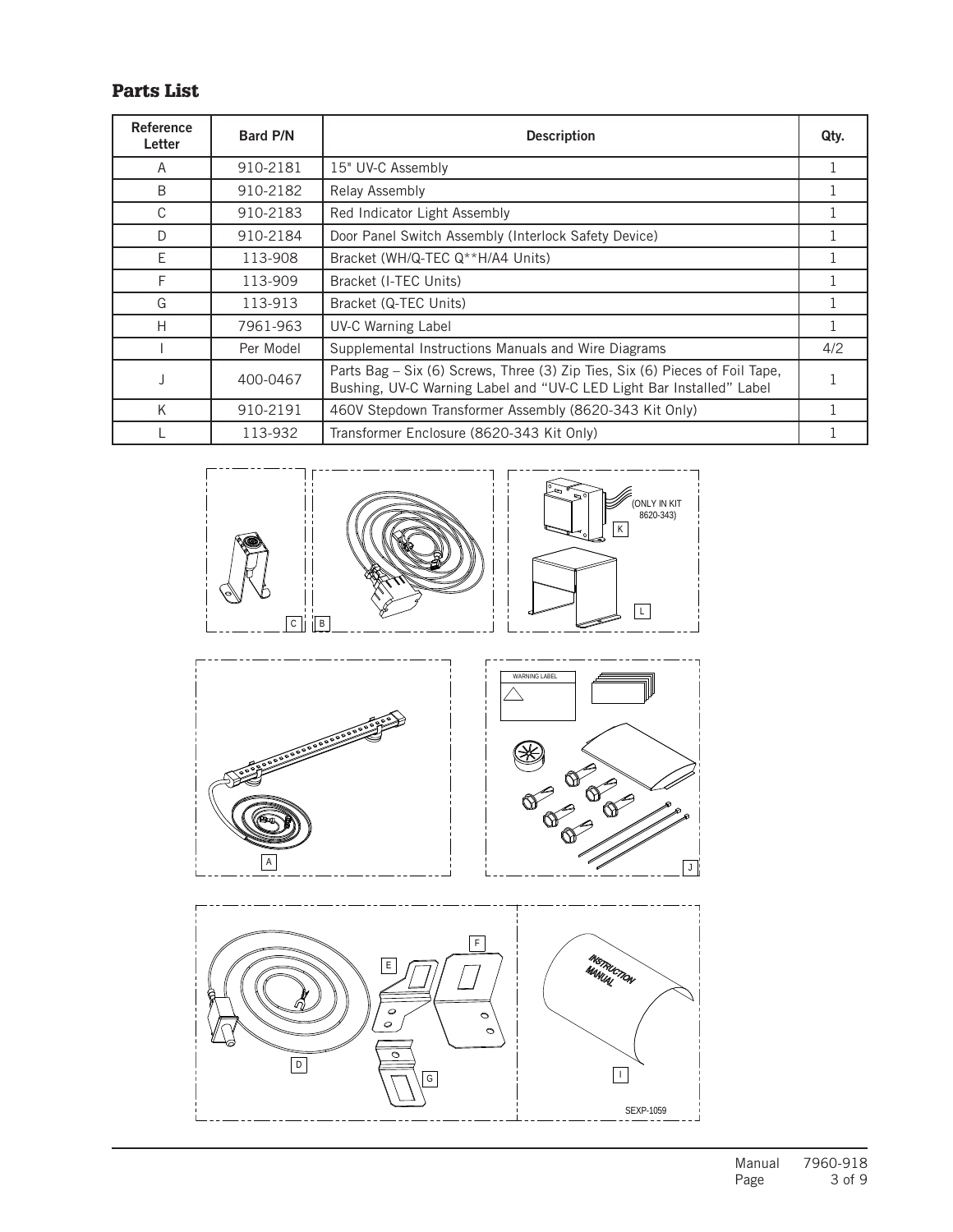### Parts List

| Reference<br>Letter | <b>Bard P/N</b> | <b>Description</b>                                                                                                                                   | Qty. |
|---------------------|-----------------|------------------------------------------------------------------------------------------------------------------------------------------------------|------|
| A                   | 910-2181        | 15" UV-C Assembly                                                                                                                                    |      |
| B                   | 910-2182        | Relay Assembly                                                                                                                                       |      |
| C                   | 910-2183        | Red Indicator Light Assembly                                                                                                                         |      |
| D                   | 910-2184        | Door Panel Switch Assembly (Interlock Safety Device)                                                                                                 |      |
| Е                   | 113-908         | Bracket (WH/Q-TEC Q**H/A4 Units)                                                                                                                     |      |
| F                   | 113-909         | Bracket (I-TEC Units)                                                                                                                                |      |
| G                   | 113-913         | Bracket (Q-TEC Units)                                                                                                                                |      |
| Н                   | 7961-963        | <b>UV-C Warning Label</b>                                                                                                                            |      |
|                     | Per Model       | Supplemental Instructions Manuals and Wire Diagrams                                                                                                  | 4/2  |
|                     | 400-0467        | Parts Bag - Six (6) Screws, Three (3) Zip Ties, Six (6) Pieces of Foil Tape,<br>Bushing, UV-C Warning Label and "UV-C LED Light Bar Installed" Label |      |
| K                   | 910-2191        | 460V Stepdown Transformer Assembly (8620-343 Kit Only)                                                                                               |      |
|                     | 113-932         | Transformer Enclosure (8620-343 Kit Only)                                                                                                            |      |

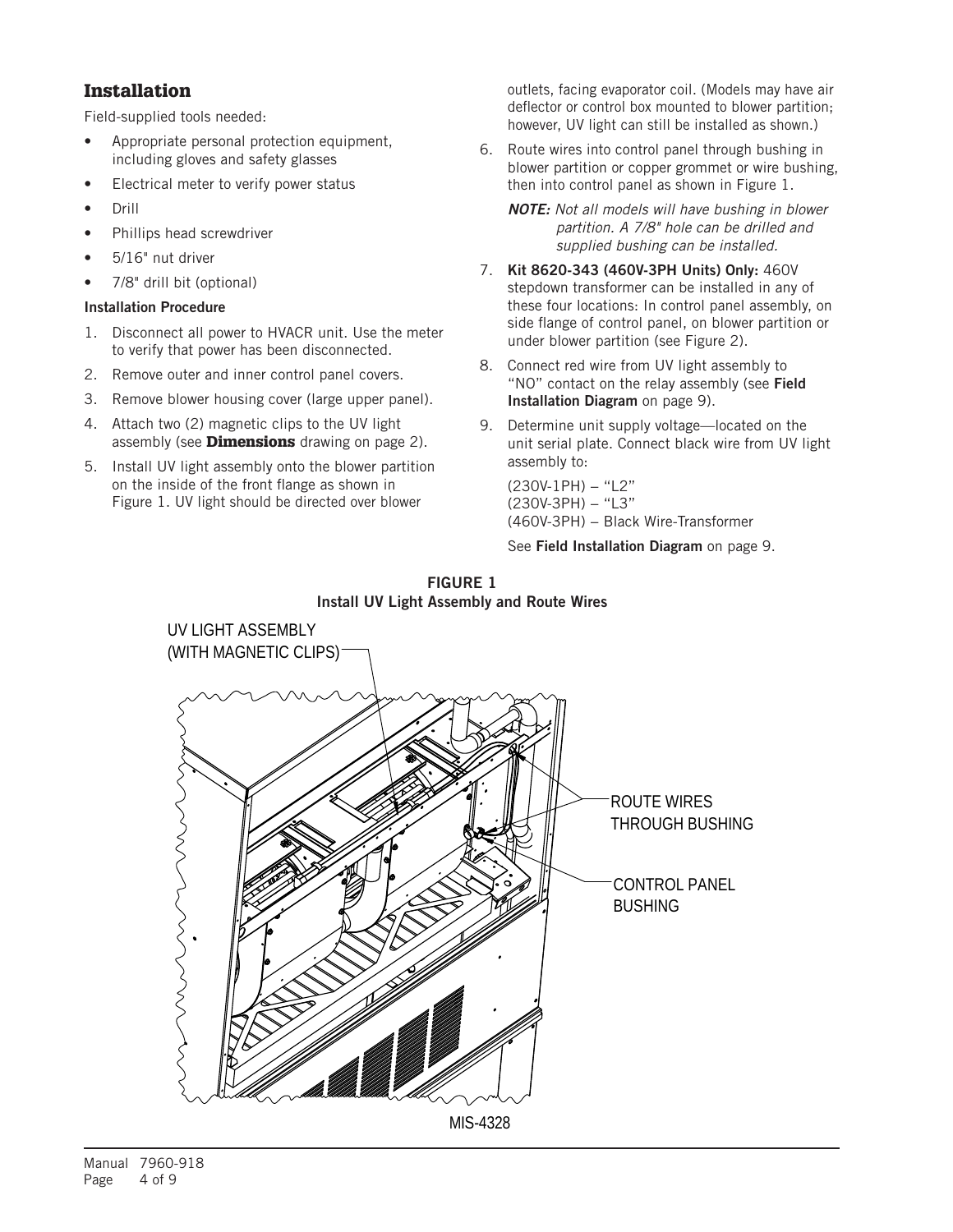### Installation

Field-supplied tools needed:

- Appropriate personal protection equipment, including gloves and safety glasses
- Electrical meter to verify power status
- Drill
- Phillips head screwdriver
- 5/16" nut driver
- 7/8" drill bit (optional)

#### Installation Procedure

- 1. Disconnect all power to HVACR unit. Use the meter to verify that power has been disconnected.
- 2. Remove outer and inner control panel covers.
- 3. Remove blower housing cover (large upper panel).
- 4. Attach two (2) magnetic clips to the UV light assembly (see **Dimensions** drawing on page 2).
- 5. Install UV light assembly onto the blower partition on the inside of the front flange as shown in Figure 1. UV light should be directed over blower

outlets, facing evaporator coil. (Models may have air deflector or control box mounted to blower partition; however, UV light can still be installed as shown.)

6. Route wires into control panel through bushing in blower partition or copper grommet or wire bushing, then into control panel as shown in Figure 1.

*NOTE: Not all models will have bushing in blower partition. A 7/8" hole can be drilled and supplied bushing can be installed.*

- 7. Kit 8620-343 (460V-3PH Units) Only: 460V stepdown transformer can be installed in any of these four locations: In control panel assembly, on side flange of control panel, on blower partition or under blower partition (see Figure 2).
- 8. Connect red wire from UV light assembly to "NO" contact on the relay assembly (see Field Installation Diagram on page 9).
- 9. Determine unit supply voltage—located on the unit serial plate. Connect black wire from UV light assembly to:

(230V-1PH) − "L2" (230V-3PH) − "L3" (460V-3PH) – Black Wire-Transformer

See Field Installation Diagram on page 9.



#### FIGURE 1 Install UV Light Assembly and Route Wires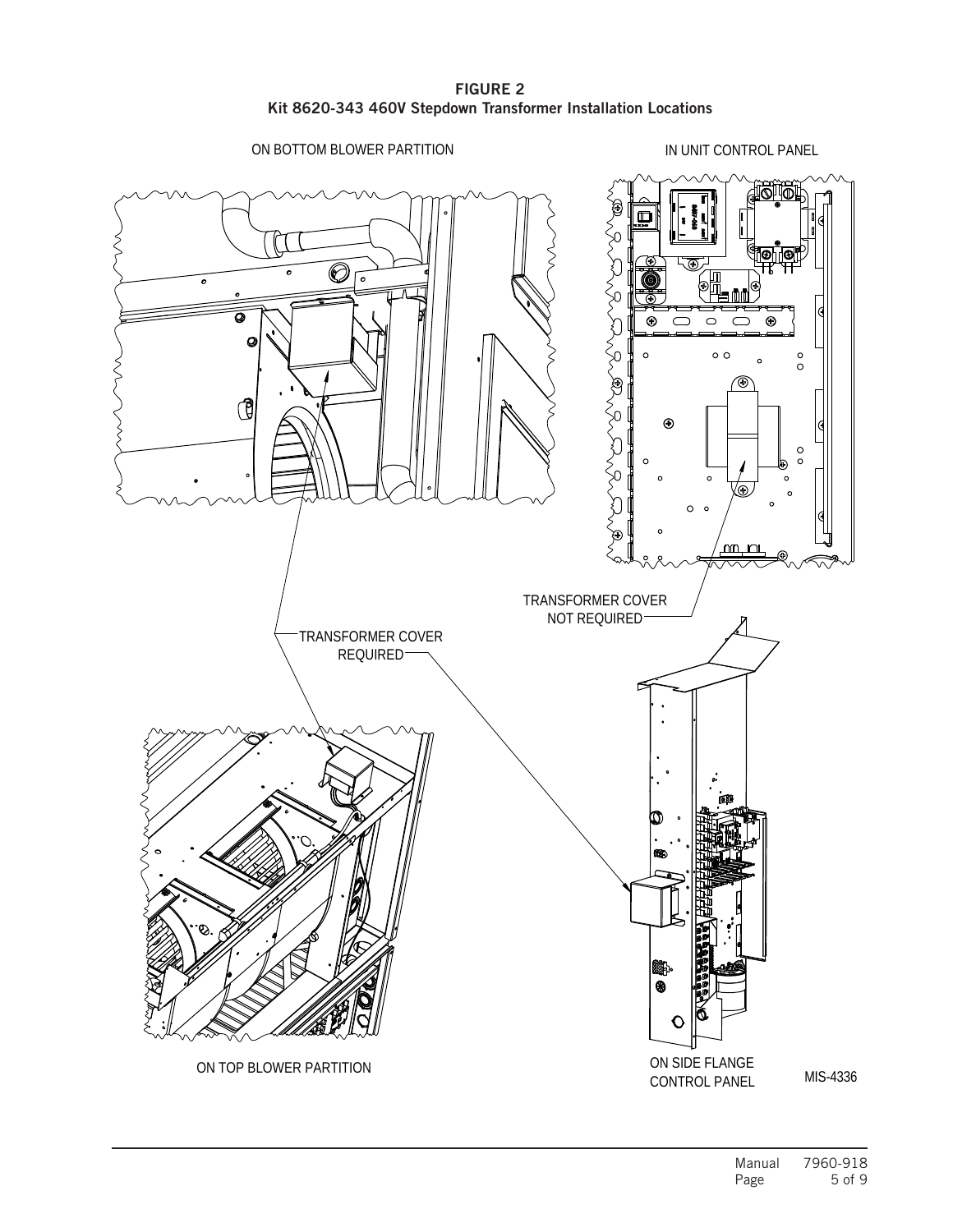FIGURE 2 Kit 8620-343 460V Stepdown Transformer Installation Locations

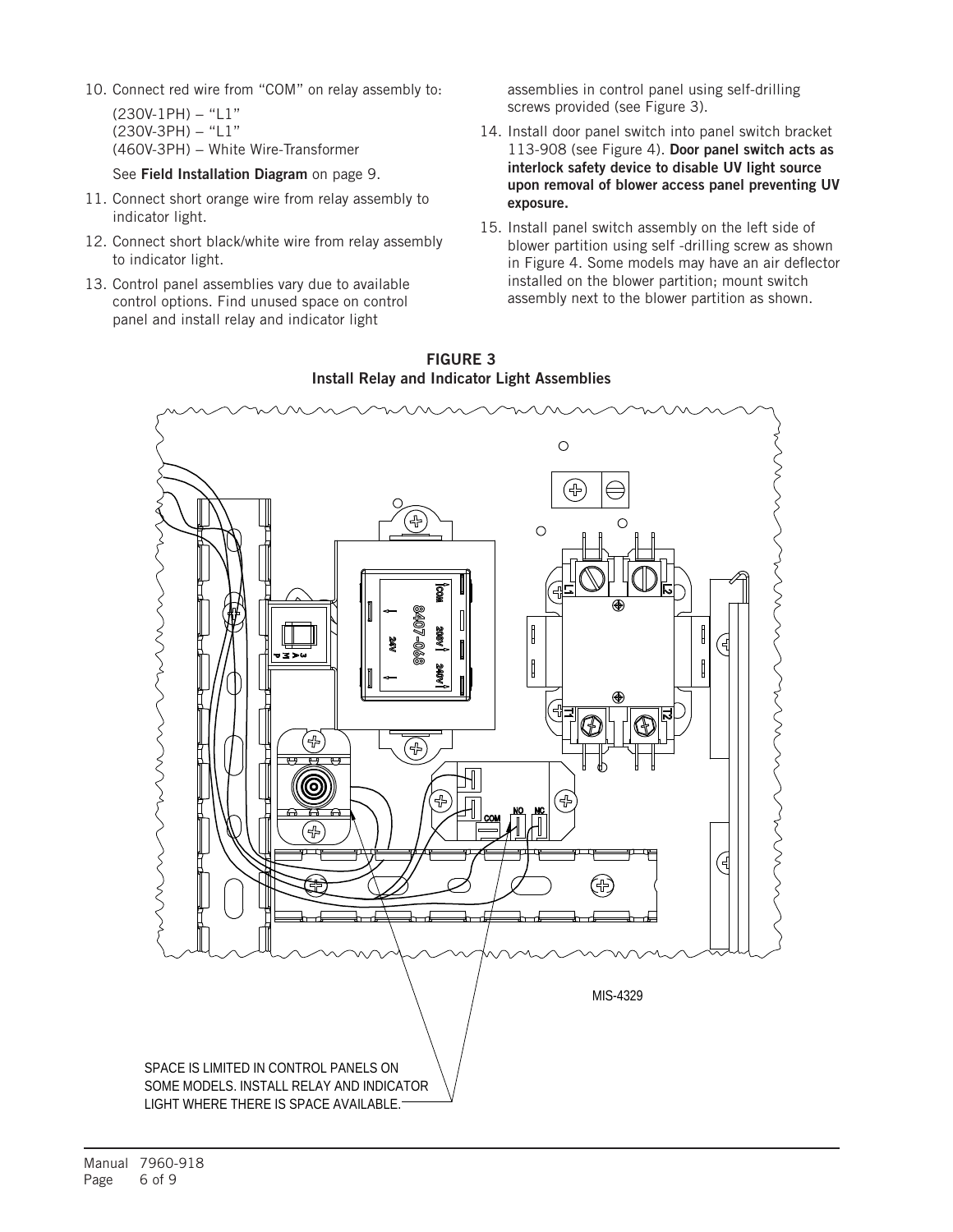10. Connect red wire from "COM" on relay assembly to:

(230V-1PH) − "L1" (230V-3PH) − "L1" (460V-3PH) – White Wire-Transformer

See Field Installation Diagram on page 9.

- 11. Connect short orange wire from relay assembly to indicator light.
- 12. Connect short black/white wire from relay assembly to indicator light.
- 13. Control panel assemblies vary due to available control options. Find unused space on control panel and install relay and indicator light

assemblies in control panel using self-drilling screws provided (see Figure 3).

- 14. Install door panel switch into panel switch bracket 113-908 (see Figure 4). Door panel switch acts as interlock safety device to disable UV light source upon removal of blower access panel preventing UV exposure.
- 15. Install panel switch assembly on the left side of blower partition using self -drilling screw as shown in Figure 4. Some models may have an air deflector installed on the blower partition; mount switch assembly next to the blower partition as shown.



FIGURE 3 Install Relay and Indicator Light Assemblies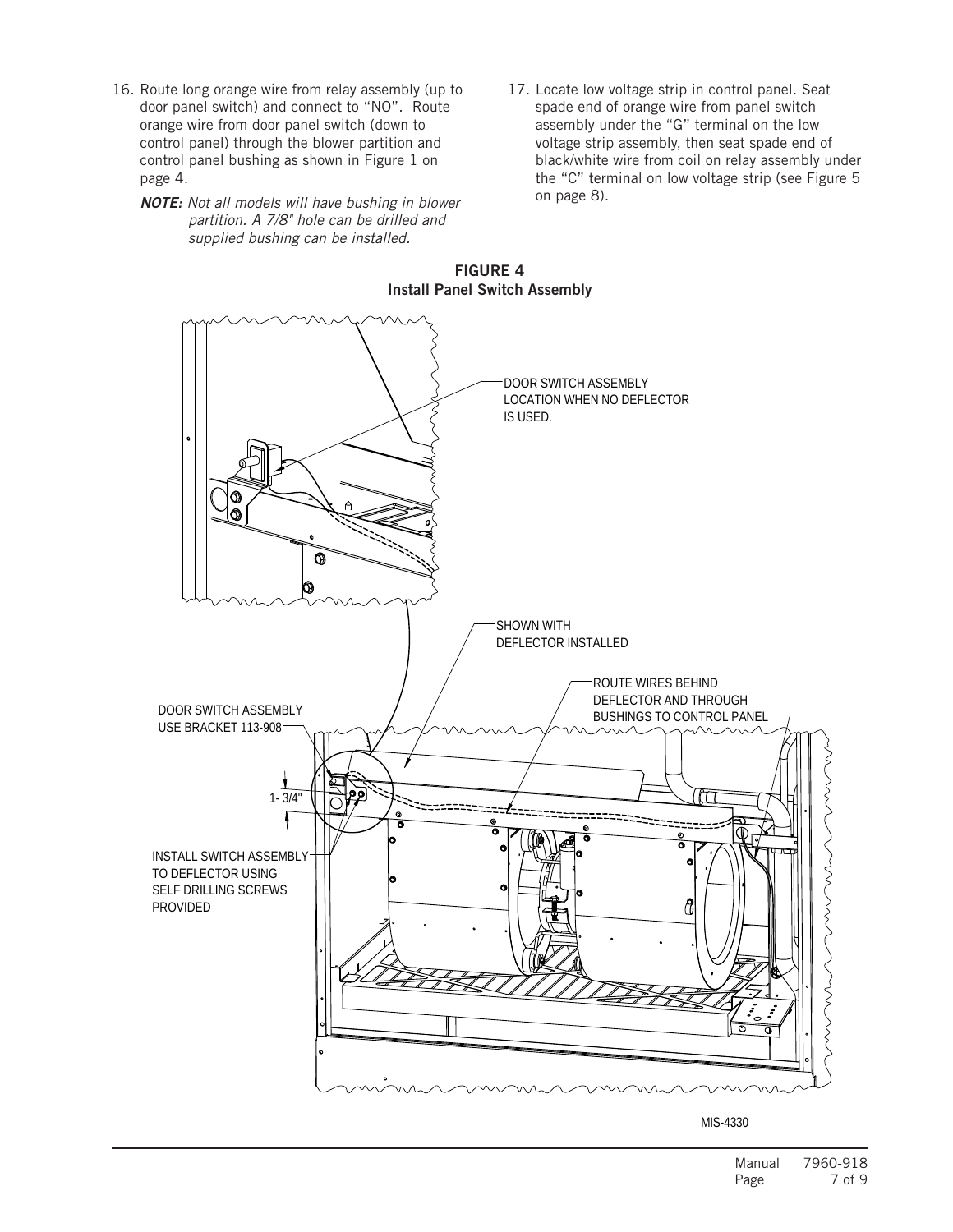- 16. Route long orange wire from relay assembly (up to door panel switch) and connect to "NO". Route orange wire from door panel switch (down to control panel) through the blower partition and control panel bushing as shown in Figure 1 on page 4.
	- *NOTE: Not all models will have bushing in blower partition. A 7/8" hole can be drilled and supplied bushing can be installed.*
- 17. Locate low voltage strip in control panel. Seat spade end of orange wire from panel switch assembly under the "G" terminal on the low voltage strip assembly, then seat spade end of black/white wire from coil on relay assembly under the "C" terminal on low voltage strip (see Figure 5 on page 8).



FIGURE 4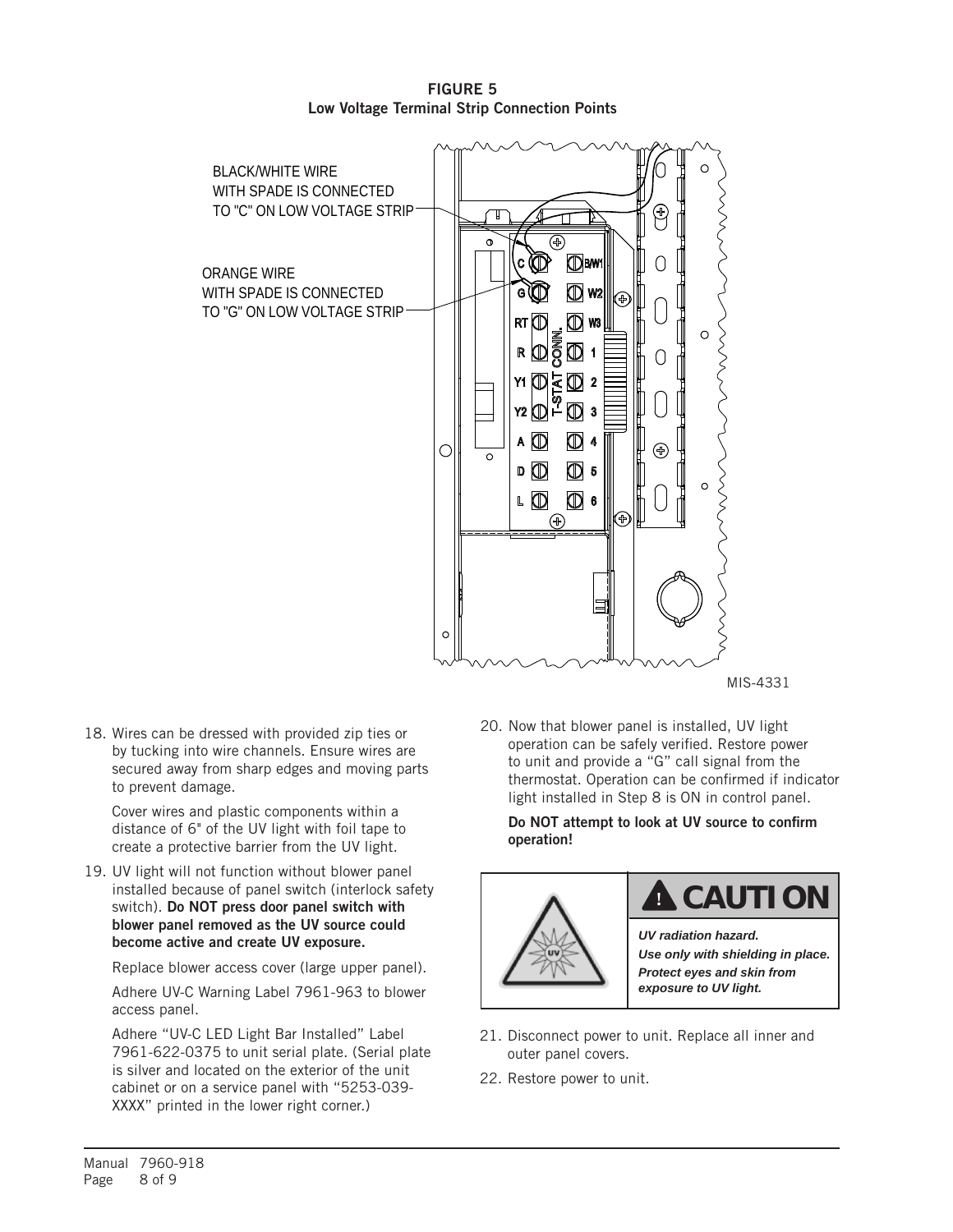

FIGURE 5 Low Voltage Terminal Strip Connection Points

MIS-4331

18. Wires can be dressed with provided zip ties or by tucking into wire channels. Ensure wires are secured away from sharp edges and moving parts to prevent damage.

Cover wires and plastic components within a distance of 6" of the UV light with foil tape to create a protective barrier from the UV light.

19. UV light will not function without blower panel installed because of panel switch (interlock safety switch). Do NOT press door panel switch with blower panel removed as the UV source could become active and create UV exposure.

Replace blower access cover (large upper panel).

Adhere UV-C Warning Label 7961-963 to blower access panel.

Adhere "UV-C LED Light Bar Installed" Label 7961-622-0375 to unit serial plate. (Serial plate is silver and located on the exterior of the unit cabinet or on a service panel with "5253-039- XXXX" printed in the lower right corner.)

20. Now that blower panel is installed, UV light operation can be safely verified. Restore power to unit and provide a "G" call signal from the thermostat. Operation can be confirmed if indicator light installed in Step 8 is ON in control panel.

Do NOT attempt to look at UV source to confirm operation!



### **! CAUTION**

*UV radiation hazard. Use only with shielding in place. Protect eyes and skin from exposure to UV light.*

- 21. Disconnect power to unit. Replace all inner and outer panel covers.
- 22. Restore power to unit.